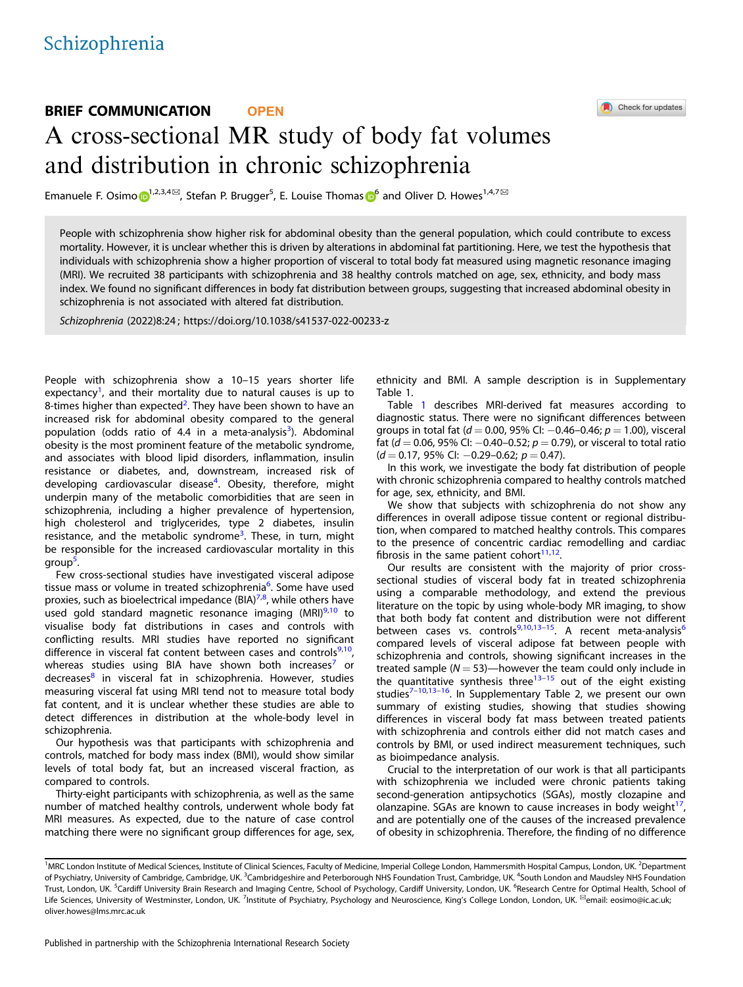# BRIEF COMMUNICATION **OPEN** A cross-sectional MR study of body fat volumes and distribution in chronic schizophrenia

Emanuele F. Osim[o](http://orcid.org/0000-0001-6239-5691)  $\bigoplus^{1,2,3,4\boxtimes}$  $\bigoplus^{1,2,3,4\boxtimes}$  $\bigoplus^{1,2,3,4\boxtimes}$ , Stefan P. Brugger<sup>5</sup>, E. Louise Thomas  $\bigoplus^6$  $\bigoplus^6$  and Oliver D. Howes<sup>1,4,7 $\boxtimes$ </sup>

People with schizophrenia show higher risk for abdominal obesity than the general population, which could contribute to excess mortality. However, it is unclear whether this is driven by alterations in abdominal fat partitioning. Here, we test the hypothesis that individuals with schizophrenia show a higher proportion of visceral to total body fat measured using magnetic resonance imaging (MRI). We recruited 38 participants with schizophrenia and 38 healthy controls matched on age, sex, ethnicity, and body mass index. We found no significant differences in body fat distribution between groups, suggesting that increased abdominal obesity in schizophrenia is not associated with altered fat distribution.

Schizophrenia (2022) 8:24 ; https://doi.org/1[0.1038/s41537-022-00233-z](https://doi.org/10.1038/s41537-022-00233-z)

People with schizophrenia show a 10–15 years shorter life expectancy<sup>[1](#page-2-0)</sup>, and their mortality due to natural causes is up to 8-times higher than expected<sup>[2](#page-2-0)</sup>. They have been shown to have an increased risk for abdominal obesity compared to the general population (odds ratio of 4.4 in a meta-analysis<sup>[3](#page-2-0)</sup>). Abdominal obesity is the most prominent feature of the metabolic syndrome, and associates with blood lipid disorders, inflammation, insulin resistance or diabetes, and, downstream, increased risk of developing cardiovascular disease<sup>[4](#page-2-0)</sup>. Obesity, therefore, might underpin many of the metabolic comorbidities that are seen in schizophrenia, including a higher prevalence of hypertension, high cholesterol and triglycerides, type 2 diabetes, insulin resistance, and the metabolic syndrome<sup>[3](#page-2-0)</sup>. These, in turn, might be responsible for the increased cardiovascular mortality in this group<sup>5</sup>. .

Few cross-sectional studies have investigated visceral adipose tissue mass or volume in treated schizophrenia<sup>[6](#page-2-0)</sup>. Some have used proxies, such as bioelectrical impedance (BIA)<sup>7,8</sup>, while others have used gold standard magnetic resonance imaging (MRI)<sup>[9,10](#page-2-0)</sup> to visualise body fat distributions in cases and controls with conflicting results. MRI studies have reported no significant difference in visceral fat content between cases and controls $9,10$ , whereas studies using BIA have shown both increases<sup>[7](#page-2-0)</sup> or decreases<sup>[8](#page-2-0)</sup> in visceral fat in schizophrenia. However, studies measuring visceral fat using MRI tend not to measure total body fat content, and it is unclear whether these studies are able to detect differences in distribution at the whole-body level in schizophrenia.

Our hypothesis was that participants with schizophrenia and controls, matched for body mass index (BMI), would show similar levels of total body fat, but an increased visceral fraction, as compared to controls.

Thirty-eight participants with schizophrenia, as well as the same number of matched healthy controls, underwent whole body fat MRI measures. As expected, due to the nature of case control matching there were no significant group differences for age, sex, ethnicity and BMI. A sample description is in Supplementary Table 1.

Table [1](#page-1-0) describes MRI-derived fat measures according to diagnostic status. There were no significant differences between groups in total fat ( $d = 0.00$ , 95% CI:  $-0.46-0.46$ ;  $p = 1.00$ ), visceral fat ( $d = 0.06$ , 95% CI:  $-0.40-0.52$ ;  $p = 0.79$ ), or visceral to total ratio  $(d = 0.17, 95\% \text{ Cl: } -0.29 - 0.62; p = 0.47).$ 

In this work, we investigate the body fat distribution of people with chronic schizophrenia compared to healthy controls matched for age, sex, ethnicity, and BMI.

We show that subjects with schizophrenia do not show any differences in overall adipose tissue content or regional distribution, when compared to matched healthy controls. This compares to the presence of concentric cardiac remodelling and cardiac fibrosis in the same patient cohort<sup>11,12</sup>.

Our results are consistent with the majority of prior crosssectional studies of visceral body fat in treated schizophrenia using a comparable methodology, and extend the previous literature on the topic by using whole-body MR imaging, to show that both body fat content and distribution were not different between cases vs. controls<sup>[9,10,13](#page-2-0)-15</sup>. A recent meta-analysis<sup>[6](#page-2-0)</sup> compared levels of visceral adipose fat between people with schizophrenia and controls, showing significant increases in the treated sample ( $N = 53$ )—however the team could only include in the quantitative synthesis three<sup>[13](#page-2-0)–[15](#page-2-0)</sup> out of the eight existing studies $7-10,13-16$  $7-10,13-16$  $7-10,13-16$  $7-10,13-16$  $7-10,13-16$ . In Supplementary Table 2, we present our own summary of existing studies, showing that studies showing differences in visceral body fat mass between treated patients with schizophrenia and controls either did not match cases and controls by BMI, or used indirect measurement techniques, such as bioimpedance analysis.

Crucial to the interpretation of our work is that all participants with schizophrenia we included were chronic patients taking second-generation antipsychotics (SGAs), mostly clozapine and olanzapine. SGAs are known to cause increases in body weight $^{17}$  $^{17}$  $^{17}$ , and are potentially one of the causes of the increased prevalence of obesity in schizophrenia. Therefore, the finding of no difference



<sup>&</sup>lt;sup>1</sup>MRC London Institute of Medical Sciences, Institute of Clinical Sciences, Faculty of Medicine, Imperial College London, Hammersmith Hospital Campus, London, UK. <sup>2</sup>Department of Psychiatry, University of Cambridge, Cambridge, UK. <sup>3</sup>Cambridgeshire and Peterborough NHS Foundation Trust, Cambridge, UK. <sup>4</sup>South London and Maudsley NHS Foundation Trust, London, UK. <sup>5</sup>Cardiff University Brain Research and Imaging Centre, School of Psychology, Cardiff University, London, UK. <sup>6</sup>Research Centre for Optimal Health, School of Life Sciences, University of Westminster, London, UK. <sup>7</sup>Institute of Psychiatry, Psychology and Neuroscience, King's College London, London, UK. <sup>⊠</sup>email: [eosimo@ic.ac.uk;](mailto:eosimo@ic.ac.uk) [oliver.howes@lms.mrc.ac.uk](mailto:oliver.howes@lms.mrc.ac.uk)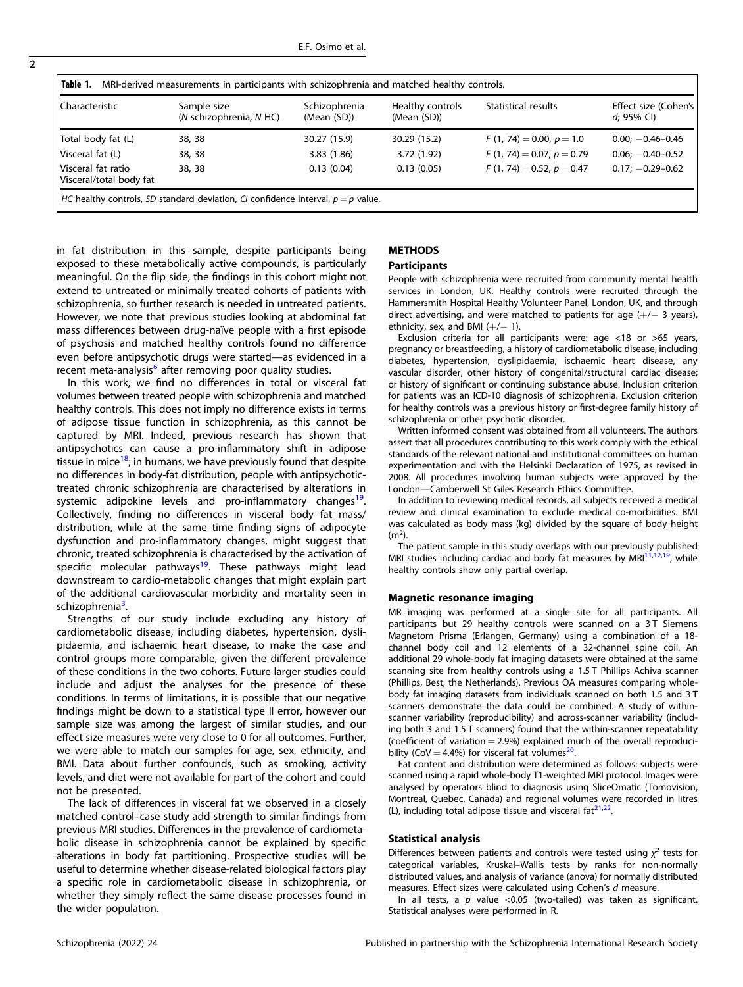<span id="page-1-0"></span>

| MRI-derived measurements in participants with schizophrenia and matched healthy controls.<br>Table 1. |                                                                                    |                              |                                 |                                |                                       |
|-------------------------------------------------------------------------------------------------------|------------------------------------------------------------------------------------|------------------------------|---------------------------------|--------------------------------|---------------------------------------|
| Characteristic                                                                                        | Sample size<br>(N schizophrenia, N HC)                                             | Schizophrenia<br>(Mean (SD)) | Healthy controls<br>(Mean (SD)) | Statistical results            | Effect size (Cohen's<br>$d$ : 95% CI) |
| Total body fat (L)                                                                                    | 38, 38                                                                             | 30.27 (15.9)                 | 30.29 (15.2)                    | $F(1, 74) = 0.00, p = 1.0$     | $0.00: -0.46 - 0.46$                  |
| Visceral fat (L)                                                                                      | 38, 38                                                                             | 3.83(1.86)                   | 3.72 (1.92)                     | $F(1, 74) = 0.07$ , $p = 0.79$ | $0.06: -0.40 - 0.52$                  |
| Visceral fat ratio<br>Visceral/total body fat                                                         | 38, 38                                                                             | 0.13(0.04)                   | 0.13(0.05)                      | $F(1, 74) = 0.52, p = 0.47$    | $0.17: -0.29 - 0.62$                  |
|                                                                                                       | HC healthy controls, SD standard deviation, CI confidence interval, $p = p$ value. |                              |                                 |                                |                                       |

in fat distribution in this sample, despite participants being exposed to these metabolically active compounds, is particularly meaningful. On the flip side, the findings in this cohort might not extend to untreated or minimally treated cohorts of patients with schizophrenia, so further research is needed in untreated patients. However, we note that previous studies looking at abdominal fat mass differences between drug-naïve people with a first episode of psychosis and matched healthy controls found no difference even before antipsychotic drugs were started—as evidenced in a recent meta-analysis<sup>[6](#page-2-0)</sup> after removing poor quality studies.

In this work, we find no differences in total or visceral fat volumes between treated people with schizophrenia and matched healthy controls. This does not imply no difference exists in terms of adipose tissue function in schizophrenia, as this cannot be captured by MRI. Indeed, previous research has shown that antipsychotics can cause a pro-inflammatory shift in adipose tissue in mice<sup>[18](#page-2-0)</sup>; in humans, we have previously found that despite no differences in body-fat distribution, people with antipsychotictreated chronic schizophrenia are characterised by alterations in systemic adipokine levels and pro-inflammatory changes<sup>19</sup>. Collectively, finding no differences in visceral body fat mass/ distribution, while at the same time finding signs of adipocyte dysfunction and pro-inflammatory changes, might suggest that chronic, treated schizophrenia is characterised by the activation of specific molecular pathways<sup>19</sup>. These pathways might lead downstream to cardio-metabolic changes that might explain part of the additional cardiovascular morbidity and mortality seen in schizophrenia<sup>3</sup>. .

Strengths of our study include excluding any history of cardiometabolic disease, including diabetes, hypertension, dyslipidaemia, and ischaemic heart disease, to make the case and control groups more comparable, given the different prevalence of these conditions in the two cohorts. Future larger studies could include and adjust the analyses for the presence of these conditions. In terms of limitations, it is possible that our negative findings might be down to a statistical type II error, however our sample size was among the largest of similar studies, and our effect size measures were very close to 0 for all outcomes. Further, we were able to match our samples for age, sex, ethnicity, and BMI. Data about further confounds, such as smoking, activity levels, and diet were not available for part of the cohort and could not be presented.

The lack of differences in visceral fat we observed in a closely matched control–case study add strength to similar findings from previous MRI studies. Differences in the prevalence of cardiometabolic disease in schizophrenia cannot be explained by specific alterations in body fat partitioning. Prospective studies will be useful to determine whether disease-related biological factors play a specific role in cardiometabolic disease in schizophrenia, or whether they simply reflect the same disease processes found in the wider population.

# **METHODS**

# Participants

People with schizophrenia were recruited from community mental health services in London, UK. Healthy controls were recruited through the Hammersmith Hospital Healthy Volunteer Panel, London, UK, and through direct advertising, and were matched to patients for age  $(+/- 3$  years), ethnicity, sex, and BMI  $(+/- 1)$ .

Exclusion criteria for all participants were: age <18 or >65 years, pregnancy or breastfeeding, a history of cardiometabolic disease, including diabetes, hypertension, dyslipidaemia, ischaemic heart disease, any vascular disorder, other history of congenital/structural cardiac disease; or history of significant or continuing substance abuse. Inclusion criterion for patients was an ICD-10 diagnosis of schizophrenia. Exclusion criterion for healthy controls was a previous history or first-degree family history of schizophrenia or other psychotic disorder.

Written informed consent was obtained from all volunteers. The authors assert that all procedures contributing to this work comply with the ethical standards of the relevant national and institutional committees on human experimentation and with the Helsinki Declaration of 1975, as revised in 2008. All procedures involving human subjects were approved by the London—Camberwell St Giles Research Ethics Committee.

In addition to reviewing medical records, all subjects received a medical review and clinical examination to exclude medical co-morbidities. BMI was calculated as body mass (kg) divided by the square of body height  $(m<sup>2</sup>)$ .

The patient sample in this study overlaps with our previously published MRI studies including cardiac and body fat measures by MRI[11,12,19](#page-2-0), while healthy controls show only partial overlap.

# Magnetic resonance imaging

MR imaging was performed at a single site for all participants. All participants but 29 healthy controls were scanned on a 3T Siemens Magnetom Prisma (Erlangen, Germany) using a combination of a 18 channel body coil and 12 elements of a 32-channel spine coil. An additional 29 whole-body fat imaging datasets were obtained at the same scanning site from healthy controls using a 1.5 T Phillips Achiva scanner (Phillips, Best, the Netherlands). Previous QA measures comparing wholebody fat imaging datasets from individuals scanned on both 1.5 and 3 T scanners demonstrate the data could be combined. A study of withinscanner variability (reproducibility) and across-scanner variability (including both 3 and 1.5 T scanners) found that the within-scanner repeatability (coefficient of variation  $= 2.9%$ ) explained much of the overall reproduci-bility (CoV = 4.4%) for visceral fat volumes<sup>[20](#page-2-0)</sup>.

Fat content and distribution were determined as follows: subjects were scanned using a rapid whole-body T1-weighted MRI protocol. Images were analysed by operators blind to diagnosis using SliceOmatic (Tomovision, Montreal, Quebec, Canada) and regional volumes were recorded in litres (L), including total adipose tissue and visceral fat $2^{1,22}$ .

### Statistical analysis

Differences between patients and controls were tested using  $x^2$  tests for categorical variables, Kruskal–Wallis tests by ranks for non-normally distributed values, and analysis of variance (anova) for normally distributed measures. Effect sizes were calculated using Cohen's d measure.

In all tests, a  $p$  value <0.05 (two-tailed) was taken as significant. Statistical analyses were performed in R.